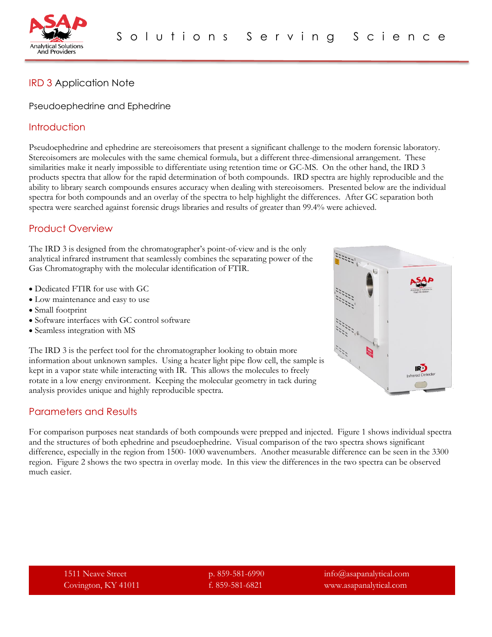

# IRD 3 Application Note

#### Pseudoephedrine and Ephedrine

#### **Introduction**

Pseudoephedrine and ephedrine are stereoisomers that present a significant challenge to the modern forensic laboratory. Stereoisomers are molecules with the same chemical formula, but a different three-dimensional arrangement. These similarities make it nearly impossible to differentiate using retention time or GC-MS. On the other hand, the IRD 3 products spectra that allow for the rapid determination of both compounds. IRD spectra are highly reproducible and the ability to library search compounds ensures accuracy when dealing with stereoisomers. Presented below are the individual spectra for both compounds and an overlay of the spectra to help highlight the differences. After GC separation both spectra were searched against forensic drugs libraries and results of greater than 99.4% were achieved.

## Product Overview

The IRD 3 is designed from the chromatographer's point-of-view and is the only analytical infrared instrument that seamlessly combines the separating power of the Gas Chromatography with the molecular identification of FTIR.

- Dedicated FTIR for use with GC
- Low maintenance and easy to use
- Small footprint
- Software interfaces with GC control software
- Seamless integration with MS

The IRD 3 is the perfect tool for the chromatographer looking to obtain more information about unknown samples. Using a heater light pipe flow cell, the sample is kept in a vapor state while interacting with IR. This allows the molecules to freely rotate in a low energy environment. Keeping the molecular geometry in tack during analysis provides unique and highly reproducible spectra.

## Parameters and Results

For comparison purposes neat standards of both compounds were prepped and injected. Figure 1 shows individual spectra and the structures of both ephedrine and pseudoephedrine. Visual comparison of the two spectra shows significant difference, especially in the region from 1500-1000 wavenumbers. Another measurable difference can be seen in the 3300 region. Figure 2 shows the two spectra in overlay mode. In this view the differences in the two spectra can be observed much easier.



1511 Neave Street p. 859-581-6990 info@asapanalytical.com Covington, KY 41011 f. 859-581-6821 www.asapanalytical.com